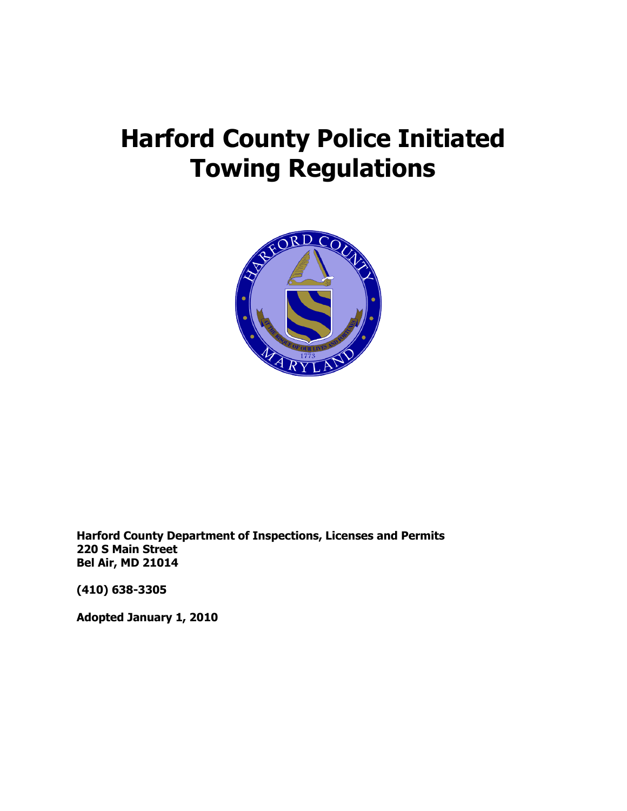# **Harford County Police Initiated Towing Regulations**



**Harford County Department of Inspections, Licenses and Permits 220 S Main Street Bel Air, MD 21014**

**(410) 638-3305**

**Adopted January 1, 2010**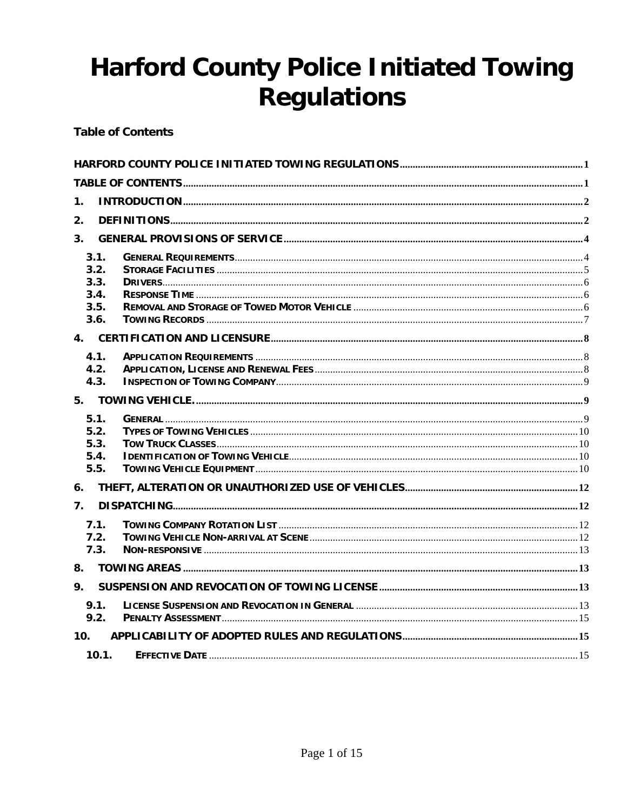# **Harford County Police Initiated Towing Regulations**

**Table of Contents** 

| 1.                                           |  |
|----------------------------------------------|--|
| 2.                                           |  |
| 3.                                           |  |
| 3.1.<br>3.2.<br>3.3.<br>3.4.<br>3.5.<br>3.6. |  |
|                                              |  |
| 4.1.<br>4.2.<br>4.3.                         |  |
|                                              |  |
| 5.1.<br>5.2.<br>5.3.<br>5.4.<br>5.5.         |  |
| 6.                                           |  |
| $\overline{7}$ .                             |  |
| 7.1.<br>7.2.<br>7.3.                         |  |
| 8.                                           |  |
| 9.                                           |  |
| 9.1.<br>9.2.                                 |  |
| 10 <sub>1</sub>                              |  |
| 10.1.                                        |  |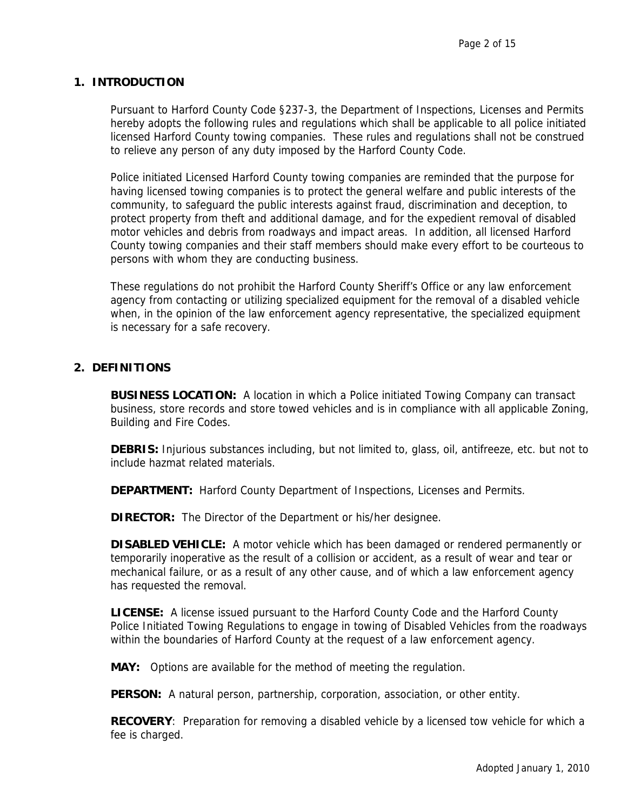#### **1. INTRODUCTION**

Pursuant to Harford County Code §237-3, the Department of Inspections, Licenses and Permits hereby adopts the following rules and regulations which shall be applicable to all police initiated licensed Harford County towing companies. These rules and regulations shall not be construed to relieve any person of any duty imposed by the Harford County Code.

Police initiated Licensed Harford County towing companies are reminded that the purpose for having licensed towing companies is to protect the general welfare and public interests of the community, to safeguard the public interests against fraud, discrimination and deception, to protect property from theft and additional damage, and for the expedient removal of disabled motor vehicles and debris from roadways and impact areas. In addition, all licensed Harford County towing companies and their staff members should make every effort to be courteous to persons with whom they are conducting business.

These regulations do not prohibit the Harford County Sheriff's Office or any law enforcement agency from contacting or utilizing specialized equipment for the removal of a disabled vehicle when, in the opinion of the law enforcement agency representative, the specialized equipment is necessary for a safe recovery.

#### **2. DEFINITIONS**

**BUSINESS LOCATION:** A location in which a Police initiated Towing Company can transact business, store records and store towed vehicles and is in compliance with all applicable Zoning, Building and Fire Codes.

**DEBRIS:** Injurious substances including, but not limited to, glass, oil, antifreeze, etc. but not to include hazmat related materials.

**DEPARTMENT:** Harford County Department of Inspections, Licenses and Permits.

**DIRECTOR:** The Director of the Department or his/her designee.

**DISABLED VEHICLE:** A motor vehicle which has been damaged or rendered permanently or temporarily inoperative as the result of a collision or accident, as a result of wear and tear or mechanical failure, or as a result of any other cause, and of which a law enforcement agency has requested the removal.

**LICENSE:** A license issued pursuant to the Harford County Code and the Harford County Police Initiated Towing Regulations to engage in towing of Disabled Vehicles from the roadways within the boundaries of Harford County at the request of a law enforcement agency.

**MAY:** Options are available for the method of meeting the regulation.

**PERSON:** A natural person, partnership, corporation, association, or other entity.

**RECOVERY**: Preparation for removing a disabled vehicle by a licensed tow vehicle for which a fee is charged.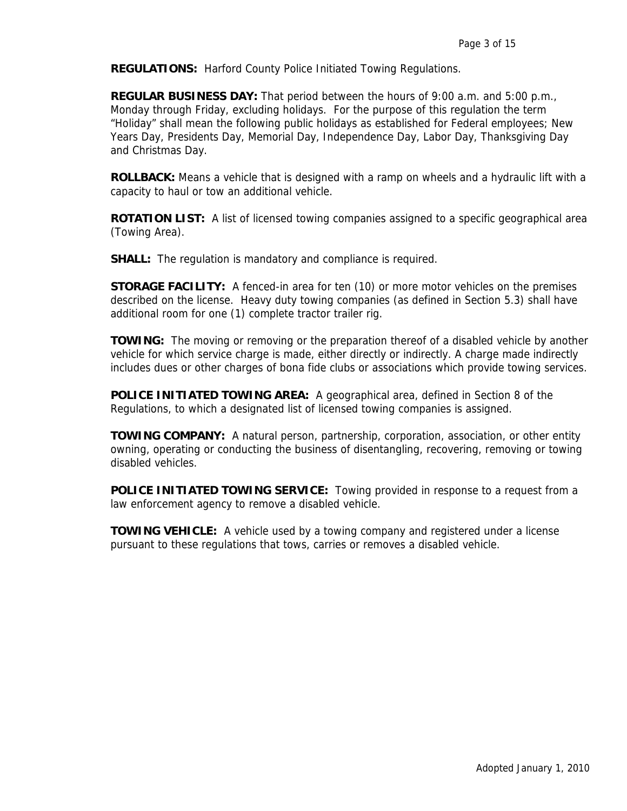**REGULATIONS:** Harford County Police Initiated Towing Regulations.

**REGULAR BUSINESS DAY:** That period between the hours of 9:00 a.m. and 5:00 p.m., Monday through Friday, excluding holidays. For the purpose of this regulation the term "Holiday" shall mean the following public holidays as established for Federal employees; New Years Day, Presidents Day, Memorial Day, Independence Day, Labor Day, Thanksgiving Day and Christmas Day.

**ROLLBACK:** Means a vehicle that is designed with a ramp on wheels and a hydraulic lift with a capacity to haul or tow an additional vehicle.

**ROTATION LIST:** A list of licensed towing companies assigned to a specific geographical area (Towing Area).

**SHALL:** The regulation is mandatory and compliance is required.

**STORAGE FACILITY:** A fenced-in area for ten (10) or more motor vehicles on the premises described on the license. Heavy duty towing companies (as defined in Section 5.3) shall have additional room for one (1) complete tractor trailer rig.

**TOWING:** The moving or removing or the preparation thereof of a disabled vehicle by another vehicle for which service charge is made, either directly or indirectly. A charge made indirectly includes dues or other charges of bona fide clubs or associations which provide towing services.

**POLICE INITIATED TOWING AREA:** A geographical area, defined in Section 8 of the Regulations, to which a designated list of licensed towing companies is assigned.

**TOWING COMPANY:** A natural person, partnership, corporation, association, or other entity owning, operating or conducting the business of disentangling, recovering, removing or towing disabled vehicles.

**POLICE INITIATED TOWING SERVICE:** Towing provided in response to a request from a law enforcement agency to remove a disabled vehicle.

**TOWING VEHICLE:** A vehicle used by a towing company and registered under a license pursuant to these regulations that tows, carries or removes a disabled vehicle.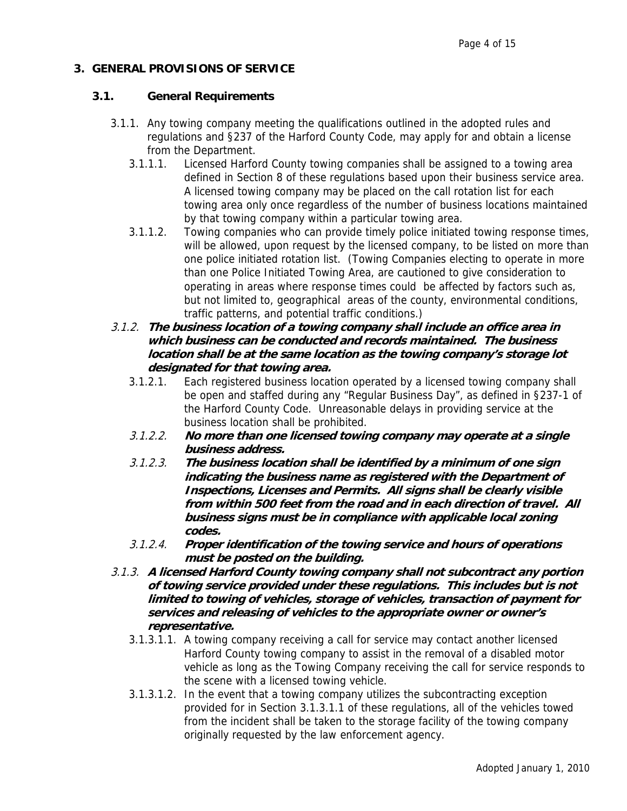# **3. GENERAL PROVISIONS OF SERVICE**

## **3.1. General Requirements**

- 3.1.1. Any towing company meeting the qualifications outlined in the adopted rules and regulations and §237 of the Harford County Code, may apply for and obtain a license from the Department.
	- 3.1.1.1. Licensed Harford County towing companies shall be assigned to a towing area defined in Section 8 of these regulations based upon their business service area. A licensed towing company may be placed on the call rotation list for each towing area only once regardless of the number of business locations maintained by that towing company within a particular towing area.
	- 3.1.1.2. Towing companies who can provide timely police initiated towing response times, will be allowed, upon request by the licensed company, to be listed on more than one police initiated rotation list. (Towing Companies electing to operate in more than one Police Initiated Towing Area, are cautioned to give consideration to operating in areas where response times could be affected by factors such as, but not limited to, geographical areas of the county, environmental conditions, traffic patterns, and potential traffic conditions.)
- 3.1.2. **The business location of a towing company shall include an office area in which business can be conducted and records maintained. The business location shall be at the same location as the towing company's storage lot designated for that towing area.** 
	- 3.1.2.1. Each registered business location operated by a licensed towing company shall be open and staffed during any "Regular Business Day", as defined in §237-1 of the Harford County Code. Unreasonable delays in providing service at the business location shall be prohibited.
	- 3.1.2.2. **No more than one licensed towing company may operate at a single business address.**
	- 3.1.2.3. **The business location shall be identified by a minimum of one sign indicating the business name as registered with the Department of Inspections, Licenses and Permits. All signs shall be clearly visible from within 500 feet from the road and in each direction of travel. All business signs must be in compliance with applicable local zoning codes.**
	- 3.1.2.4. **Proper identification of the towing service and hours of operations must be posted on the building.**
- 3.1.3. **A licensed Harford County towing company shall not subcontract any portion of towing service provided under these regulations. This includes but is not limited to towing of vehicles, storage of vehicles, transaction of payment for services and releasing of vehicles to the appropriate owner or owner's representative.** 
	- 3.1.3.1.1. A towing company receiving a call for service may contact another licensed Harford County towing company to assist in the removal of a disabled motor vehicle as long as the Towing Company receiving the call for service responds to the scene with a licensed towing vehicle.
	- 3.1.3.1.2. In the event that a towing company utilizes the subcontracting exception provided for in Section 3.1.3.1.1 of these regulations, all of the vehicles towed from the incident shall be taken to the storage facility of the towing company originally requested by the law enforcement agency.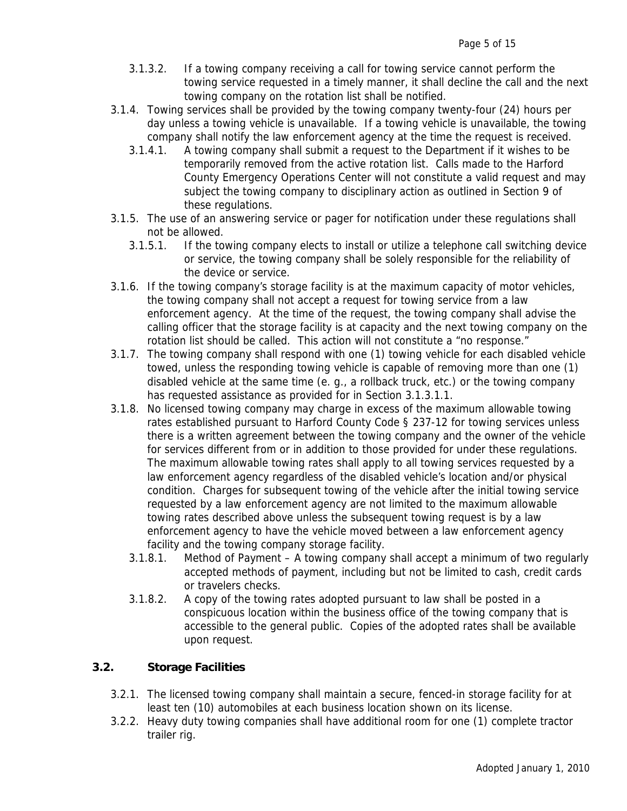- 3.1.3.2. If a towing company receiving a call for towing service cannot perform the towing service requested in a timely manner, it shall decline the call and the next towing company on the rotation list shall be notified.
- 3.1.4. Towing services shall be provided by the towing company twenty-four (24) hours per day unless a towing vehicle is unavailable. If a towing vehicle is unavailable, the towing company shall notify the law enforcement agency at the time the request is received.
	- 3.1.4.1. A towing company shall submit a request to the Department if it wishes to be temporarily removed from the active rotation list. Calls made to the Harford County Emergency Operations Center will not constitute a valid request and may subject the towing company to disciplinary action as outlined in Section 9 of these regulations.
- 3.1.5. The use of an answering service or pager for notification under these regulations shall not be allowed.
	- 3.1.5.1. If the towing company elects to install or utilize a telephone call switching device or service, the towing company shall be solely responsible for the reliability of the device or service.
- 3.1.6. If the towing company's storage facility is at the maximum capacity of motor vehicles, the towing company shall not accept a request for towing service from a law enforcement agency. At the time of the request, the towing company shall advise the calling officer that the storage facility is at capacity and the next towing company on the rotation list should be called. This action will not constitute a "no response."
- 3.1.7. The towing company shall respond with one (1) towing vehicle for each disabled vehicle towed, unless the responding towing vehicle is capable of removing more than one (1) disabled vehicle at the same time (e. g., a rollback truck, etc.) or the towing company has requested assistance as provided for in Section 3.1.3.1.1.
- 3.1.8. No licensed towing company may charge in excess of the maximum allowable towing rates established pursuant to Harford County Code § 237-12 for towing services unless there is a written agreement between the towing company and the owner of the vehicle for services different from or in addition to those provided for under these regulations. The maximum allowable towing rates shall apply to all towing services requested by a law enforcement agency regardless of the disabled vehicle's location and/or physical condition. Charges for subsequent towing of the vehicle after the initial towing service requested by a law enforcement agency are not limited to the maximum allowable towing rates described above unless the subsequent towing request is by a law enforcement agency to have the vehicle moved between a law enforcement agency facility and the towing company storage facility.
	- 3.1.8.1. Method of Payment A towing company shall accept a minimum of two regularly accepted methods of payment, including but not be limited to cash, credit cards or travelers checks.
	- 3.1.8.2. A copy of the towing rates adopted pursuant to law shall be posted in a conspicuous location within the business office of the towing company that is accessible to the general public. Copies of the adopted rates shall be available upon request.

#### **3.2. Storage Facilities**

- 3.2.1. The licensed towing company shall maintain a secure, fenced-in storage facility for at least ten (10) automobiles at each business location shown on its license.
- 3.2.2. Heavy duty towing companies shall have additional room for one (1) complete tractor trailer rig.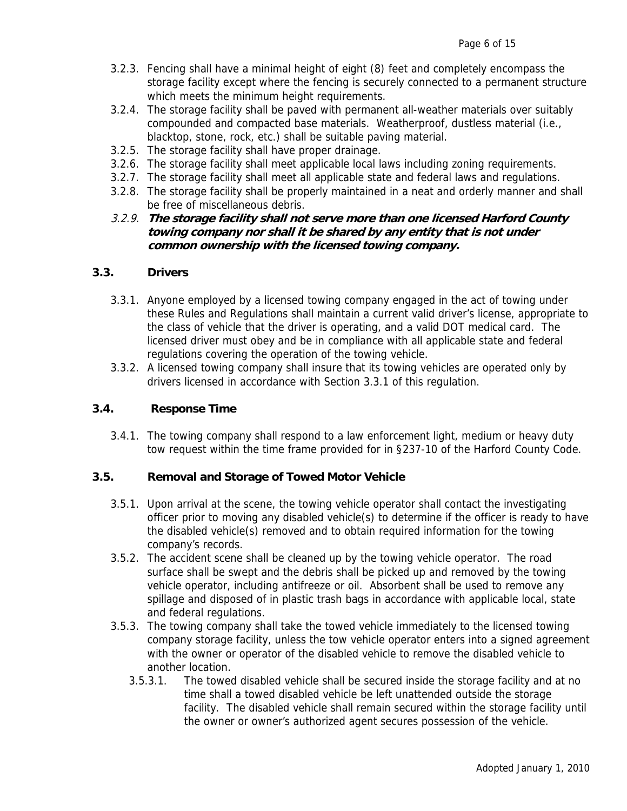- 3.2.3. Fencing shall have a minimal height of eight (8) feet and completely encompass the storage facility except where the fencing is securely connected to a permanent structure which meets the minimum height requirements.
- 3.2.4. The storage facility shall be paved with permanent all-weather materials over suitably compounded and compacted base materials. Weatherproof, dustless material (i.e., blacktop, stone, rock, etc.) shall be suitable paving material.
- 3.2.5. The storage facility shall have proper drainage.
- 3.2.6. The storage facility shall meet applicable local laws including zoning requirements.
- 3.2.7. The storage facility shall meet all applicable state and federal laws and regulations.
- 3.2.8. The storage facility shall be properly maintained in a neat and orderly manner and shall be free of miscellaneous debris.
- 3.2.9. **The storage facility shall not serve more than one licensed Harford County towing company nor shall it be shared by any entity that is not under common ownership with the licensed towing company.**

#### **3.3. Drivers**

- 3.3.1. Anyone employed by a licensed towing company engaged in the act of towing under these Rules and Regulations shall maintain a current valid driver's license, appropriate to the class of vehicle that the driver is operating, and a valid DOT medical card. The licensed driver must obey and be in compliance with all applicable state and federal regulations covering the operation of the towing vehicle.
- 3.3.2. A licensed towing company shall insure that its towing vehicles are operated only by drivers licensed in accordance with Section 3.3.1 of this regulation.

#### **3.4. Response Time**

3.4.1. The towing company shall respond to a law enforcement light, medium or heavy duty tow request within the time frame provided for in §237-10 of the Harford County Code.

#### **3.5. Removal and Storage of Towed Motor Vehicle**

- 3.5.1. Upon arrival at the scene, the towing vehicle operator shall contact the investigating officer prior to moving any disabled vehicle(s) to determine if the officer is ready to have the disabled vehicle(s) removed and to obtain required information for the towing company's records.
- 3.5.2. The accident scene shall be cleaned up by the towing vehicle operator. The road surface shall be swept and the debris shall be picked up and removed by the towing vehicle operator, including antifreeze or oil. Absorbent shall be used to remove any spillage and disposed of in plastic trash bags in accordance with applicable local, state and federal regulations.
- 3.5.3. The towing company shall take the towed vehicle immediately to the licensed towing company storage facility, unless the tow vehicle operator enters into a signed agreement with the owner or operator of the disabled vehicle to remove the disabled vehicle to another location.
	- 3.5.3.1. The towed disabled vehicle shall be secured inside the storage facility and at no time shall a towed disabled vehicle be left unattended outside the storage facility. The disabled vehicle shall remain secured within the storage facility until the owner or owner's authorized agent secures possession of the vehicle.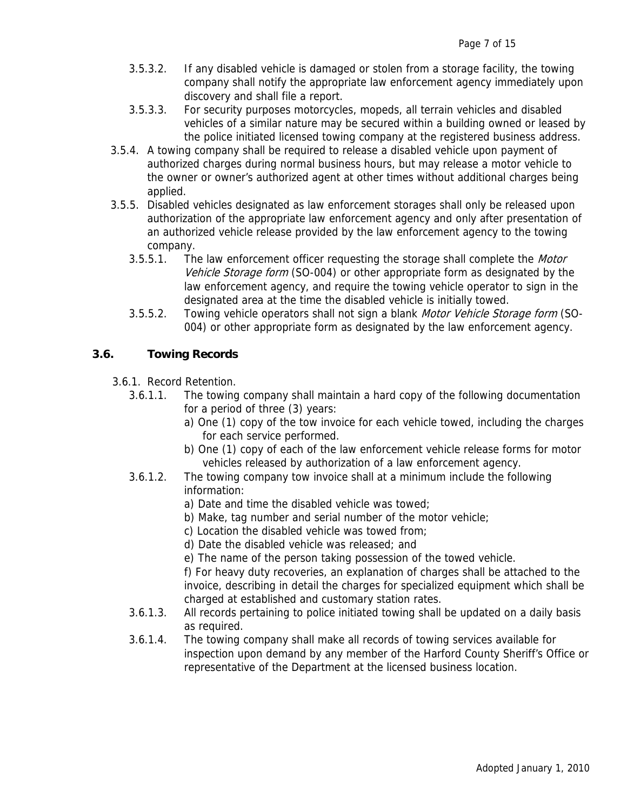- 3.5.3.2. If any disabled vehicle is damaged or stolen from a storage facility, the towing company shall notify the appropriate law enforcement agency immediately upon discovery and shall file a report.
- 3.5.3.3. For security purposes motorcycles, mopeds, all terrain vehicles and disabled vehicles of a similar nature may be secured within a building owned or leased by the police initiated licensed towing company at the registered business address.
- 3.5.4. A towing company shall be required to release a disabled vehicle upon payment of authorized charges during normal business hours, but may release a motor vehicle to the owner or owner's authorized agent at other times without additional charges being applied.
- 3.5.5. Disabled vehicles designated as law enforcement storages shall only be released upon authorization of the appropriate law enforcement agency and only after presentation of an authorized vehicle release provided by the law enforcement agency to the towing company.
	- 3.5.5.1. The law enforcement officer requesting the storage shall complete the Motor Vehicle Storage form (SO-004) or other appropriate form as designated by the law enforcement agency, and require the towing vehicle operator to sign in the designated area at the time the disabled vehicle is initially towed.
	- 3.5.5.2. Towing vehicle operators shall not sign a blank *Motor Vehicle Storage form* (SO-004) or other appropriate form as designated by the law enforcement agency.

# **3.6. Towing Records**

- 3.6.1. Record Retention.
	- 3.6.1.1. The towing company shall maintain a hard copy of the following documentation for a period of three (3) years:
		- a) One (1) copy of the tow invoice for each vehicle towed, including the charges for each service performed.
		- b) One (1) copy of each of the law enforcement vehicle release forms for motor vehicles released by authorization of a law enforcement agency.
	- 3.6.1.2. The towing company tow invoice shall at a minimum include the following information:
		- a) Date and time the disabled vehicle was towed;
		- b) Make, tag number and serial number of the motor vehicle;
		- c) Location the disabled vehicle was towed from;
		- d) Date the disabled vehicle was released; and
		- e) The name of the person taking possession of the towed vehicle.

f) For heavy duty recoveries, an explanation of charges shall be attached to the invoice, describing in detail the charges for specialized equipment which shall be charged at established and customary station rates.

- 3.6.1.3. All records pertaining to police initiated towing shall be updated on a daily basis as required.
- 3.6.1.4. The towing company shall make all records of towing services available for inspection upon demand by any member of the Harford County Sheriff's Office or representative of the Department at the licensed business location.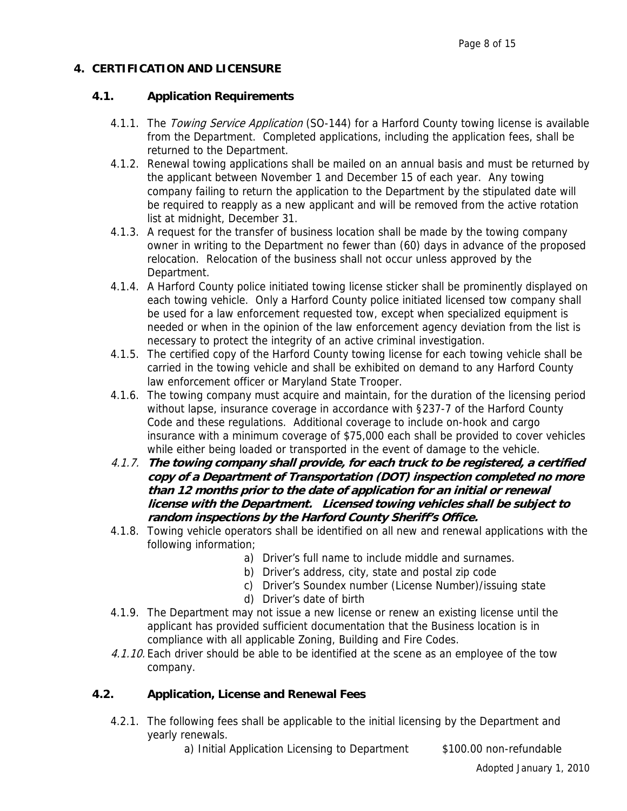# **4. CERTIFICATION AND LICENSURE**

# **4.1. Application Requirements**

- 4.1.1. The Towing Service Application (SO-144) for a Harford County towing license is available from the Department. Completed applications, including the application fees, shall be returned to the Department.
- 4.1.2. Renewal towing applications shall be mailed on an annual basis and must be returned by the applicant between November 1 and December 15 of each year. Any towing company failing to return the application to the Department by the stipulated date will be required to reapply as a new applicant and will be removed from the active rotation list at midnight, December 31.
- 4.1.3. A request for the transfer of business location shall be made by the towing company owner in writing to the Department no fewer than (60) days in advance of the proposed relocation. Relocation of the business shall not occur unless approved by the Department.
- 4.1.4. A Harford County police initiated towing license sticker shall be prominently displayed on each towing vehicle. Only a Harford County police initiated licensed tow company shall be used for a law enforcement requested tow, except when specialized equipment is needed or when in the opinion of the law enforcement agency deviation from the list is necessary to protect the integrity of an active criminal investigation.
- 4.1.5. The certified copy of the Harford County towing license for each towing vehicle shall be carried in the towing vehicle and shall be exhibited on demand to any Harford County law enforcement officer or Maryland State Trooper.
- 4.1.6. The towing company must acquire and maintain, for the duration of the licensing period without lapse, insurance coverage in accordance with §237-7 of the Harford County Code and these regulations. Additional coverage to include on-hook and cargo insurance with a minimum coverage of \$75,000 each shall be provided to cover vehicles while either being loaded or transported in the event of damage to the vehicle.
- 4.1.7. **The towing company shall provide, for each truck to be registered, a certified copy of a Department of Transportation (DOT) inspection completed no more than 12 months prior to the date of application for an initial or renewal license with the Department. Licensed towing vehicles shall be subject to random inspections by the Harford County Sheriff's Office.**
- 4.1.8. Towing vehicle operators shall be identified on all new and renewal applications with the following information;
	- a) Driver's full name to include middle and surnames.
	- b) Driver's address, city, state and postal zip code
	- c) Driver's Soundex number (License Number)/issuing state
	- d) Driver's date of birth
- 4.1.9. The Department may not issue a new license or renew an existing license until the applicant has provided sufficient documentation that the Business location is in compliance with all applicable Zoning, Building and Fire Codes.
- 4.1.10. Each driver should be able to be identified at the scene as an employee of the tow company.

# **4.2. Application, License and Renewal Fees**

4.2.1. The following fees shall be applicable to the initial licensing by the Department and yearly renewals.

a) Initial Application Licensing to Department \$100.00 non-refundable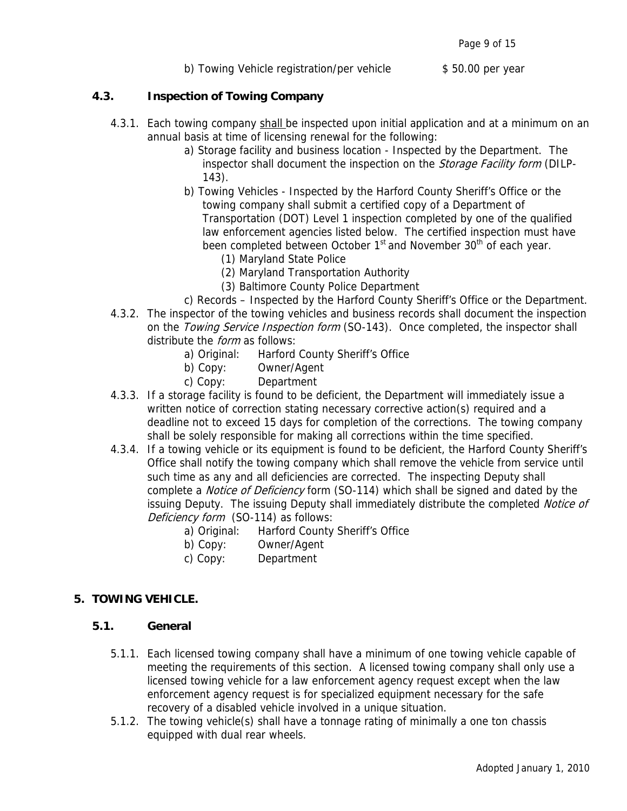#### **4.3. Inspection of Towing Company**

- 4.3.1. Each towing company shall be inspected upon initial application and at a minimum on an annual basis at time of licensing renewal for the following:
	- a) Storage facility and business location Inspected by the Department. The inspector shall document the inspection on the Storage Facility form (DILP-143).
	- b) Towing Vehicles Inspected by the Harford County Sheriff's Office or the towing company shall submit a certified copy of a Department of Transportation (DOT) Level 1 inspection completed by one of the qualified law enforcement agencies listed below. The certified inspection must have been completed between October 1<sup>st</sup> and November 30<sup>th</sup> of each year.
		- (1) Maryland State Police
		- (2) Maryland Transportation Authority
		- (3) Baltimore County Police Department
	- c) Records Inspected by the Harford County Sheriff's Office or the Department.
- 4.3.2. The inspector of the towing vehicles and business records shall document the inspection on the *Towing Service Inspection form* (SO-143). Once completed, the inspector shall distribute the *form* as follows:
	- a) Original: Harford County Sheriff's Office
	- b) Copy: Owner/Agent
	- c) Copy: Department
- 4.3.3. If a storage facility is found to be deficient, the Department will immediately issue a written notice of correction stating necessary corrective action(s) required and a deadline not to exceed 15 days for completion of the corrections. The towing company shall be solely responsible for making all corrections within the time specified.
- 4.3.4. If a towing vehicle or its equipment is found to be deficient, the Harford County Sheriff's Office shall notify the towing company which shall remove the vehicle from service until such time as any and all deficiencies are corrected. The inspecting Deputy shall complete a *Notice of Deficiency* form (SO-114) which shall be signed and dated by the issuing Deputy. The issuing Deputy shall immediately distribute the completed *Notice of* Deficiency form (SO-114) as follows:
	- a) Original: Harford County Sheriff's Office
	- b) Copy: Owner/Agent
	- c) Copy: Department

#### **5. TOWING VEHICLE.**

#### **5.1. General**

- 5.1.1. Each licensed towing company shall have a minimum of one towing vehicle capable of meeting the requirements of this section. A licensed towing company shall only use a licensed towing vehicle for a law enforcement agency request except when the law enforcement agency request is for specialized equipment necessary for the safe recovery of a disabled vehicle involved in a unique situation.
- 5.1.2. The towing vehicle(s) shall have a tonnage rating of minimally a one ton chassis equipped with dual rear wheels.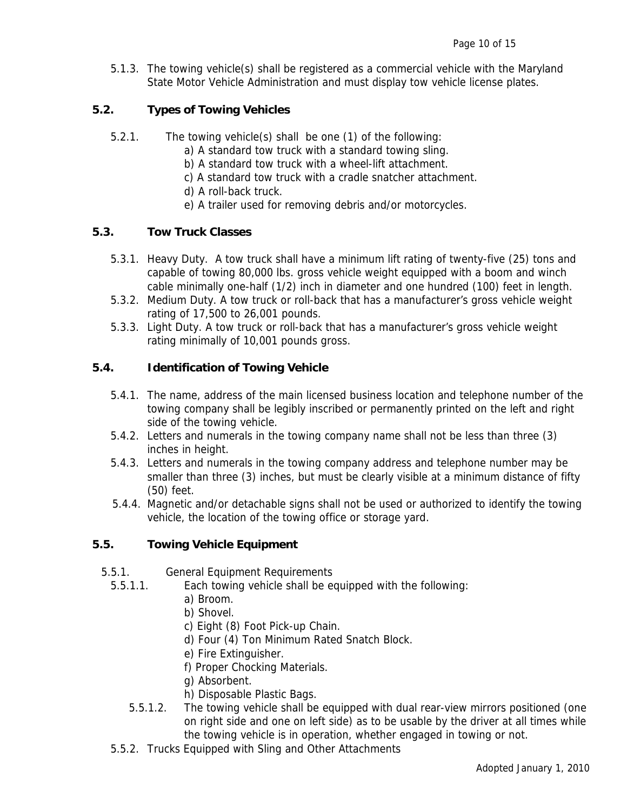5.1.3. The towing vehicle(s) shall be registered as a commercial vehicle with the Maryland State Motor Vehicle Administration and must display tow vehicle license plates.

#### **5.2. Types of Towing Vehicles**

- 5.2.1. The towing vehicle(s) shall be one (1) of the following:
	- a) A standard tow truck with a standard towing sling.
	- b) A standard tow truck with a wheel-lift attachment.
	- c) A standard tow truck with a cradle snatcher attachment.
	- d) A roll-back truck.
	- e) A trailer used for removing debris and/or motorcycles.

#### **5.3. Tow Truck Classes**

- 5.3.1. Heavy Duty. A tow truck shall have a minimum lift rating of twenty-five (25) tons and capable of towing 80,000 lbs. gross vehicle weight equipped with a boom and winch cable minimally one-half (1/2) inch in diameter and one hundred (100) feet in length.
- 5.3.2. Medium Duty. A tow truck or roll-back that has a manufacturer's gross vehicle weight rating of 17,500 to 26,001 pounds.
- 5.3.3. Light Duty. A tow truck or roll-back that has a manufacturer's gross vehicle weight rating minimally of 10,001 pounds gross.

# **5.4. Identification of Towing Vehicle**

- 5.4.1. The name, address of the main licensed business location and telephone number of the towing company shall be legibly inscribed or permanently printed on the left and right side of the towing vehicle.
- 5.4.2. Letters and numerals in the towing company name shall not be less than three (3) inches in height.
- 5.4.3. Letters and numerals in the towing company address and telephone number may be smaller than three (3) inches, but must be clearly visible at a minimum distance of fifty (50) feet.
- 5.4.4. Magnetic and/or detachable signs shall not be used or authorized to identify the towing vehicle, the location of the towing office or storage yard.

#### **5.5. Towing Vehicle Equipment**

- 5.5.1. General Equipment Requirements
	- 5.5.1.1. Each towing vehicle shall be equipped with the following:
		- a) Broom.
		- b) Shovel.
		- c) Eight (8) Foot Pick-up Chain.
		- d) Four (4) Ton Minimum Rated Snatch Block.
		- e) Fire Extinguisher.
		- f) Proper Chocking Materials.
		- g) Absorbent.
		- h) Disposable Plastic Bags.
		- 5.5.1.2. The towing vehicle shall be equipped with dual rear-view mirrors positioned (one on right side and one on left side) as to be usable by the driver at all times while the towing vehicle is in operation, whether engaged in towing or not.
	- 5.5.2. Trucks Equipped with Sling and Other Attachments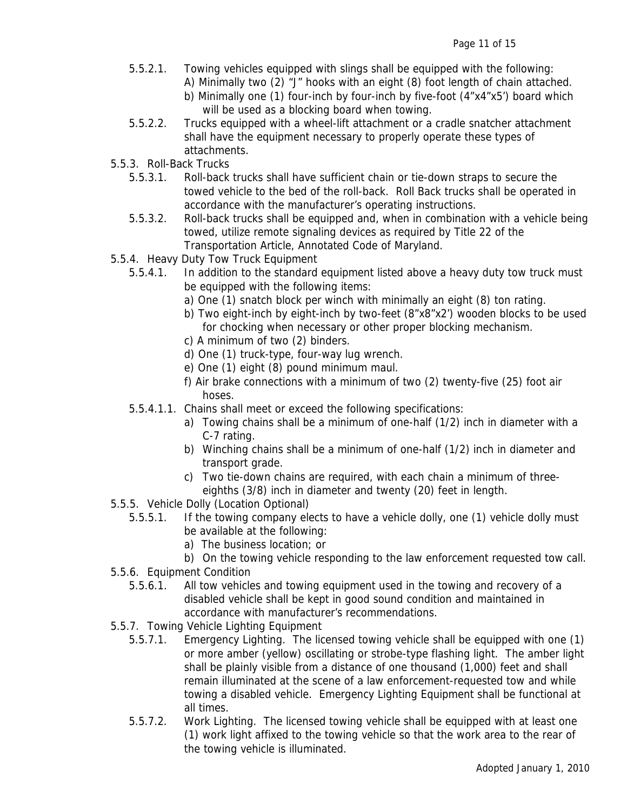- 5.5.2.1. Towing vehicles equipped with slings shall be equipped with the following:
	- A) Minimally two (2) "J" hooks with an eight (8) foot length of chain attached.
	- b) Minimally one (1) four-inch by four-inch by five-foot (4"x4"x5') board which will be used as a blocking board when towing.
- 5.5.2.2. Trucks equipped with a wheel-lift attachment or a cradle snatcher attachment shall have the equipment necessary to properly operate these types of attachments.
- 5.5.3. Roll-Back Trucks
	- 5.5.3.1. Roll-back trucks shall have sufficient chain or tie-down straps to secure the towed vehicle to the bed of the roll-back. Roll Back trucks shall be operated in accordance with the manufacturer's operating instructions.
	- 5.5.3.2. Roll-back trucks shall be equipped and, when in combination with a vehicle being towed, utilize remote signaling devices as required by Title 22 of the Transportation Article, Annotated Code of Maryland.
- 5.5.4. Heavy Duty Tow Truck Equipment
	- 5.5.4.1. In addition to the standard equipment listed above a heavy duty tow truck must be equipped with the following items:
		- a) One (1) snatch block per winch with minimally an eight (8) ton rating.
		- b) Two eight-inch by eight-inch by two-feet (8"x8"x2') wooden blocks to be used for chocking when necessary or other proper blocking mechanism.
		- c) A minimum of two (2) binders.
		- d) One (1) truck-type, four-way lug wrench.
		- e) One (1) eight (8) pound minimum maul.
		- f) Air brake connections with a minimum of two (2) twenty-five (25) foot air hoses.
	- 5.5.4.1.1. Chains shall meet or exceed the following specifications:
		- a) Towing chains shall be a minimum of one-half (1/2) inch in diameter with a C-7 rating.
		- b) Winching chains shall be a minimum of one-half (1/2) inch in diameter and transport grade.
		- c) Two tie-down chains are required, with each chain a minimum of threeeighths (3/8) inch in diameter and twenty (20) feet in length.
- 5.5.5. Vehicle Dolly (Location Optional)
	- 5.5.5.1. If the towing company elects to have a vehicle dolly, one (1) vehicle dolly must be available at the following:
		- a) The business location; or
		- b) On the towing vehicle responding to the law enforcement requested tow call.
- 5.5.6. Equipment Condition
	- 5.5.6.1. All tow vehicles and towing equipment used in the towing and recovery of a disabled vehicle shall be kept in good sound condition and maintained in accordance with manufacturer's recommendations.
- 5.5.7. Towing Vehicle Lighting Equipment
	- 5.5.7.1. Emergency Lighting. The licensed towing vehicle shall be equipped with one (1) or more amber (yellow) oscillating or strobe-type flashing light. The amber light shall be plainly visible from a distance of one thousand (1,000) feet and shall remain illuminated at the scene of a law enforcement-requested tow and while towing a disabled vehicle. Emergency Lighting Equipment shall be functional at all times.
	- 5.5.7.2. Work Lighting. The licensed towing vehicle shall be equipped with at least one (1) work light affixed to the towing vehicle so that the work area to the rear of the towing vehicle is illuminated.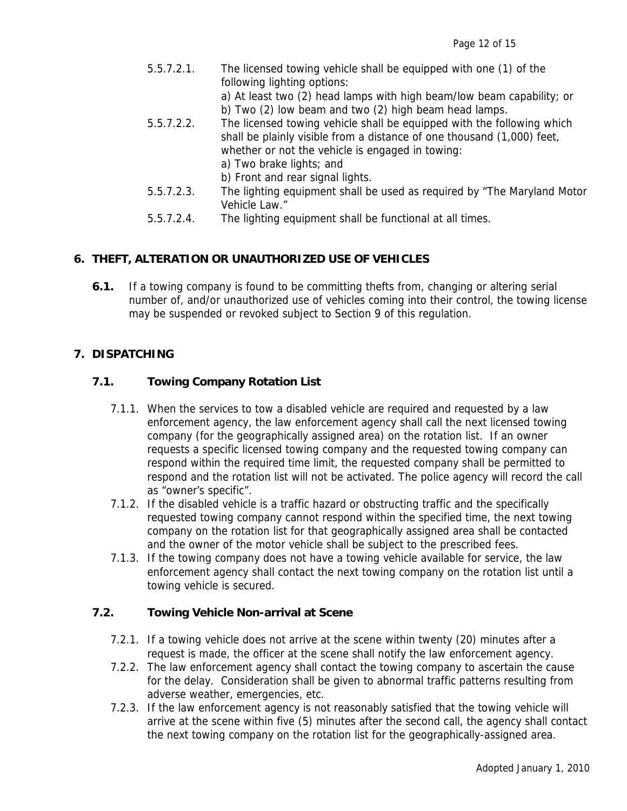| 5.5.7.2.1. | The licensed towing vehicle shall be equipped with one (1) of the       |
|------------|-------------------------------------------------------------------------|
|            | following lighting options:                                             |
|            | a) At least two (2) head lamps with high beam/low beam capability; or   |
|            | b) Two (2) low beam and two (2) high beam head lamps.                   |
| 5.5.7.2.2. | The licensed towing vehicle shall be equipped with the following which  |
|            | shall be plainly visible from a distance of one thousand (1,000) feet,  |
|            | whether or not the vehicle is engaged in towing:                        |
|            | a) Two brake lights; and                                                |
|            | b) Front and rear signal lights.                                        |
| 5.5.7.2.3. | The lighting equipment shall be used as required by "The Maryland Motor |
|            | Vehicle Law."                                                           |

5.5.7.2.4. The lighting equipment shall be functional at all times.

# **6. THEFT, ALTERATION OR UNAUTHORIZED USE OF VEHICLES**

**6.1.** If a towing company is found to be committing thefts from, changing or altering serial number of, and/or unauthorized use of vehicles coming into their control, the towing license may be suspended or revoked subject to Section 9 of this regulation.

#### **7. DISPATCHING**

#### **7.1. Towing Company Rotation List**

- 7.1.1. When the services to tow a disabled vehicle are required and requested by a law enforcement agency, the law enforcement agency shall call the next licensed towing company (for the geographically assigned area) on the rotation list. If an owner requests a specific licensed towing company and the requested towing company can respond within the required time limit, the requested company shall be permitted to respond and the rotation list will not be activated. The police agency will record the call as "owner's specific".
- 7.1.2. If the disabled vehicle is a traffic hazard or obstructing traffic and the specifically requested towing company cannot respond within the specified time, the next towing company on the rotation list for that geographically assigned area shall be contacted and the owner of the motor vehicle shall be subject to the prescribed fees.
- 7.1.3. If the towing company does not have a towing vehicle available for service, the law enforcement agency shall contact the next towing company on the rotation list until a towing vehicle is secured.

#### **7.2. Towing Vehicle Non-arrival at Scene**

- 7.2.1. If a towing vehicle does not arrive at the scene within twenty (20) minutes after a request is made, the officer at the scene shall notify the law enforcement agency.
- 7.2.2. The law enforcement agency shall contact the towing company to ascertain the cause for the delay. Consideration shall be given to abnormal traffic patterns resulting from adverse weather, emergencies, etc.
- 7.2.3. If the law enforcement agency is not reasonably satisfied that the towing vehicle will arrive at the scene within five (5) minutes after the second call, the agency shall contact the next towing company on the rotation list for the geographically-assigned area.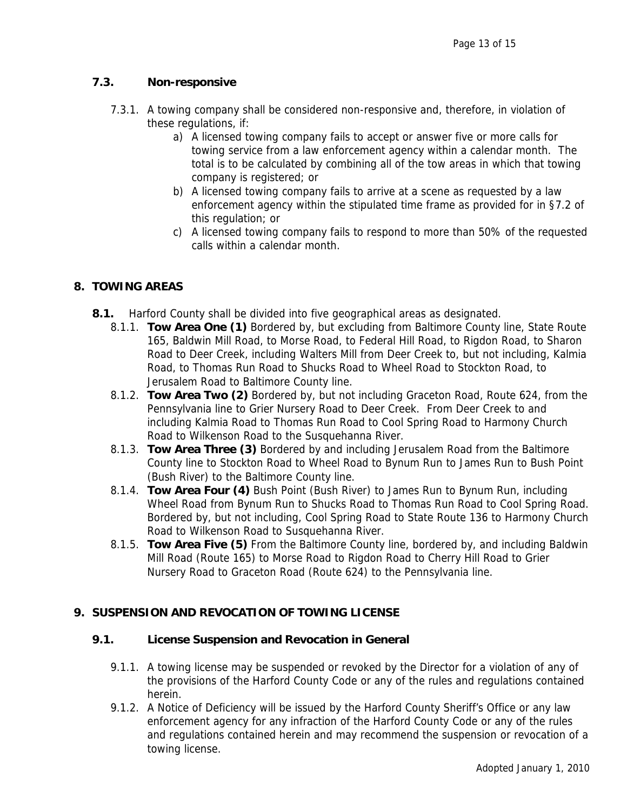# **7.3. Non-responsive**

- 7.3.1. A towing company shall be considered non-responsive and, therefore, in violation of these regulations, if:
	- a) A licensed towing company fails to accept or answer five or more calls for towing service from a law enforcement agency within a calendar month. The total is to be calculated by combining all of the tow areas in which that towing company is registered; or
	- b) A licensed towing company fails to arrive at a scene as requested by a law enforcement agency within the stipulated time frame as provided for in §7.2 of this regulation; or
	- c) A licensed towing company fails to respond to more than 50% of the requested calls within a calendar month.

# **8. TOWING AREAS**

- **8.1.** Harford County shall be divided into five geographical areas as designated.
	- 8.1.1. **Tow Area One (1)** Bordered by, but excluding from Baltimore County line, State Route 165, Baldwin Mill Road, to Morse Road, to Federal Hill Road, to Rigdon Road, to Sharon Road to Deer Creek, including Walters Mill from Deer Creek to, but not including, Kalmia Road, to Thomas Run Road to Shucks Road to Wheel Road to Stockton Road, to Jerusalem Road to Baltimore County line.
	- 8.1.2. **Tow Area Two (2)** Bordered by, but not including Graceton Road, Route 624, from the Pennsylvania line to Grier Nursery Road to Deer Creek. From Deer Creek to and including Kalmia Road to Thomas Run Road to Cool Spring Road to Harmony Church Road to Wilkenson Road to the Susquehanna River.
	- 8.1.3. **Tow Area Three (3)** Bordered by and including Jerusalem Road from the Baltimore County line to Stockton Road to Wheel Road to Bynum Run to James Run to Bush Point (Bush River) to the Baltimore County line.
	- 8.1.4. **Tow Area Four (4)** Bush Point (Bush River) to James Run to Bynum Run, including Wheel Road from Bynum Run to Shucks Road to Thomas Run Road to Cool Spring Road. Bordered by, but not including, Cool Spring Road to State Route 136 to Harmony Church Road to Wilkenson Road to Susquehanna River.
	- 8.1.5. **Tow Area Five (5)** From the Baltimore County line, bordered by, and including Baldwin Mill Road (Route 165) to Morse Road to Rigdon Road to Cherry Hill Road to Grier Nursery Road to Graceton Road (Route 624) to the Pennsylvania line.

#### **9. SUSPENSION AND REVOCATION OF TOWING LICENSE**

#### **9.1. License Suspension and Revocation in General**

- 9.1.1. A towing license may be suspended or revoked by the Director for a violation of any of the provisions of the Harford County Code or any of the rules and regulations contained herein.
- 9.1.2. A Notice of Deficiency will be issued by the Harford County Sheriff's Office or any law enforcement agency for any infraction of the Harford County Code or any of the rules and regulations contained herein and may recommend the suspension or revocation of a towing license.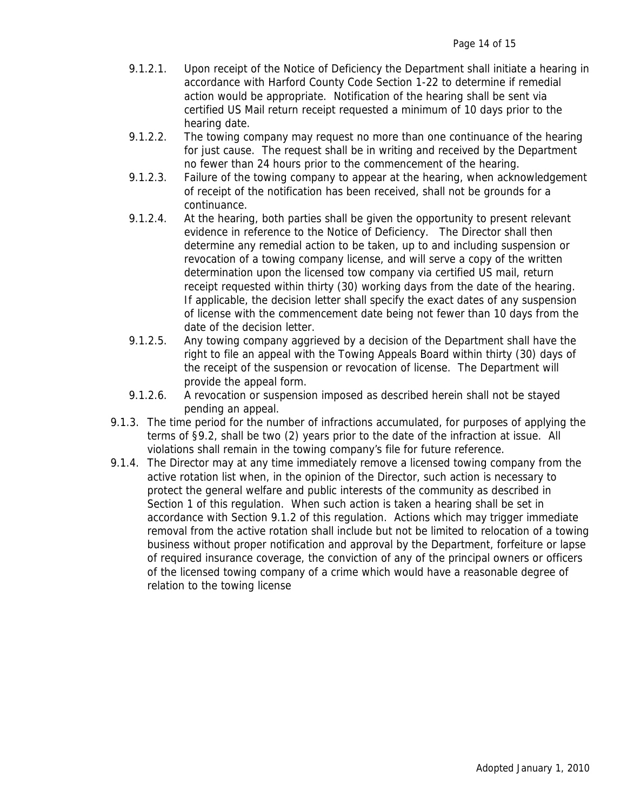- 9.1.2.1. Upon receipt of the Notice of Deficiency the Department shall initiate a hearing in accordance with Harford County Code Section 1-22 to determine if remedial action would be appropriate. Notification of the hearing shall be sent via certified US Mail return receipt requested a minimum of 10 days prior to the hearing date.
- 9.1.2.2. The towing company may request no more than one continuance of the hearing for just cause. The request shall be in writing and received by the Department no fewer than 24 hours prior to the commencement of the hearing.
- 9.1.2.3. Failure of the towing company to appear at the hearing, when acknowledgement of receipt of the notification has been received, shall not be grounds for a continuance.
- 9.1.2.4. At the hearing, both parties shall be given the opportunity to present relevant evidence in reference to the Notice of Deficiency. The Director shall then determine any remedial action to be taken, up to and including suspension or revocation of a towing company license, and will serve a copy of the written determination upon the licensed tow company via certified US mail, return receipt requested within thirty (30) working days from the date of the hearing. If applicable, the decision letter shall specify the exact dates of any suspension of license with the commencement date being not fewer than 10 days from the date of the decision letter.
- 9.1.2.5. Any towing company aggrieved by a decision of the Department shall have the right to file an appeal with the Towing Appeals Board within thirty (30) days of the receipt of the suspension or revocation of license. The Department will provide the appeal form.
- 9.1.2.6. A revocation or suspension imposed as described herein shall not be stayed pending an appeal.
- 9.1.3. The time period for the number of infractions accumulated, for purposes of applying the terms of §9.2, shall be two (2) years prior to the date of the infraction at issue. All violations shall remain in the towing company's file for future reference.
- 9.1.4. The Director may at any time immediately remove a licensed towing company from the active rotation list when, in the opinion of the Director, such action is necessary to protect the general welfare and public interests of the community as described in Section 1 of this regulation. When such action is taken a hearing shall be set in accordance with Section 9.1.2 of this regulation. Actions which may trigger immediate removal from the active rotation shall include but not be limited to relocation of a towing business without proper notification and approval by the Department, forfeiture or lapse of required insurance coverage, the conviction of any of the principal owners or officers of the licensed towing company of a crime which would have a reasonable degree of relation to the towing license